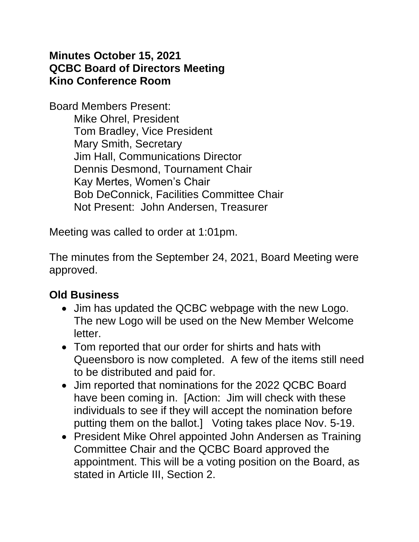#### **Minutes October 15, 2021 QCBC Board of Directors Meeting Kino Conference Room**

Board Members Present: Mike Ohrel, President Tom Bradley, Vice President Mary Smith, Secretary Jim Hall, Communications Director Dennis Desmond, Tournament Chair Kay Mertes, Women's Chair Bob DeConnick, Facilities Committee Chair Not Present: John Andersen, Treasurer

Meeting was called to order at 1:01pm.

The minutes from the September 24, 2021, Board Meeting were approved.

### **Old Business**

- Jim has updated the QCBC webpage with the new Logo. The new Logo will be used on the New Member Welcome letter.
- Tom reported that our order for shirts and hats with Queensboro is now completed. A few of the items still need to be distributed and paid for.
- Jim reported that nominations for the 2022 QCBC Board have been coming in. [Action: Jim will check with these individuals to see if they will accept the nomination before putting them on the ballot.] Voting takes place Nov. 5-19.
- President Mike Ohrel appointed John Andersen as Training Committee Chair and the QCBC Board approved the appointment. This will be a voting position on the Board, as stated in Article III, Section 2.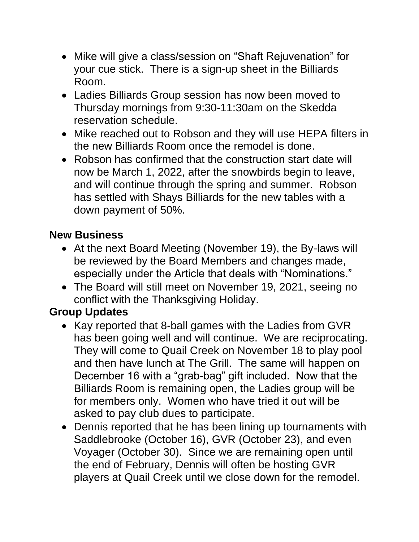- Mike will give a class/session on "Shaft Rejuvenation" for your cue stick. There is a sign-up sheet in the Billiards Room.
- Ladies Billiards Group session has now been moved to Thursday mornings from 9:30-11:30am on the Skedda reservation schedule.
- Mike reached out to Robson and they will use HEPA filters in the new Billiards Room once the remodel is done.
- Robson has confirmed that the construction start date will now be March 1, 2022, after the snowbirds begin to leave, and will continue through the spring and summer. Robson has settled with Shays Billiards for the new tables with a down payment of 50%.

## **New Business**

- At the next Board Meeting (November 19), the By-laws will be reviewed by the Board Members and changes made, especially under the Article that deals with "Nominations."
- The Board will still meet on November 19, 2021, seeing no conflict with the Thanksgiving Holiday.

# **Group Updates**

- Kay reported that 8-ball games with the Ladies from GVR has been going well and will continue. We are reciprocating. They will come to Quail Creek on November 18 to play pool and then have lunch at The Grill. The same will happen on December 16 with a "grab-bag" gift included. Now that the Billiards Room is remaining open, the Ladies group will be for members only. Women who have tried it out will be asked to pay club dues to participate.
- Dennis reported that he has been lining up tournaments with Saddlebrooke (October 16), GVR (October 23), and even Voyager (October 30). Since we are remaining open until the end of February, Dennis will often be hosting GVR players at Quail Creek until we close down for the remodel.